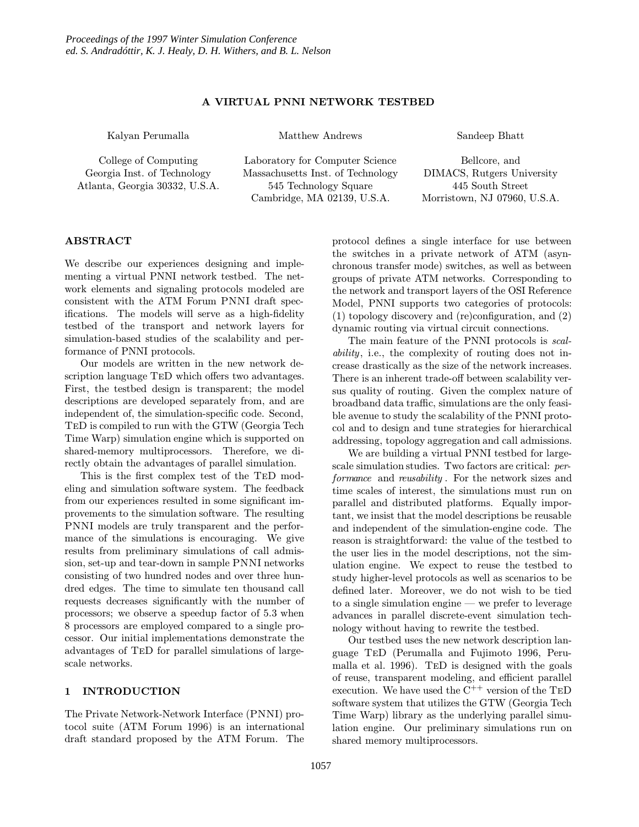### A VIRTUAL PNNI NETWORK TESTBED

Kalyan Perumalla

College of Computing Georgia Inst. of Technology Atlanta, Georgia 30332, U.S.A. Matthew Andrews

Sandeep Bhatt

Laboratory for Computer Science Massachusetts Inst. of Technology 545 Technology Square Cambridge, MA 02139, U.S.A.

Bellcore, and DIMACS, Rutgers University 445 South Street Morristown, NJ 07960, U.S.A.

### ABSTRACT

We describe our experiences designing and implementing a virtual PNNI network testbed. The network elements and signaling protocols modeled are consistent with the ATM Forum PNNI draft specifications. The models will serve as a high-fidelity testbed of the transport and network layers for simulation-based studies of the scalability and performance of PNNI protocols.

Our models are written in the new network description language TeD which offers two advantages. First, the testbed design is transparent; the model descriptions are developed separately from, and are independent of, the simulation-specific code. Second, TeD is compiled to run with the GTW (Georgia Tech Time Warp) simulation engine which is supported on shared-memory multiprocessors. Therefore, we directly obtain the advantages of parallel simulation.

This is the first complex test of the TeD modeling and simulation software system. The feedback from our experiences resulted in some significant improvements to the simulation software. The resulting PNNI models are truly transparent and the performance of the simulations is encouraging. We give results from preliminary simulations of call admission, set-up and tear-down in sample PNNI networks consisting of two hundred nodes and over three hundred edges. The time to simulate ten thousand call requests decreases significantly with the number of processors; we observe a speedup factor of 5.3 when 8 processors are employed compared to a single processor. Our initial implementations demonstrate the advantages of TeD for parallel simulations of largescale networks.

#### 1 INTRODUCTION

The Private Network-Network Interface (PNNI) protocol suite (ATM Forum 1996) is an international draft standard proposed by the ATM Forum. The protocol defines a single interface for use between the switches in a private network of ATM (asynchronous transfer mode) switches, as well as between groups of private ATM networks. Corresponding to the network and transport layers of the OSI Reference Model, PNNI supports two categories of protocols: (1) topology discovery and (re)configuration, and (2) dynamic routing via virtual circuit connections.

The main feature of the PNNI protocols is scalability, i.e., the complexity of routing does not increase drastically as the size of the network increases. There is an inherent trade-off between scalability versus quality of routing. Given the complex nature of broadband data traffic, simulations are the only feasible avenue to study the scalability of the PNNI protocol and to design and tune strategies for hierarchical addressing, topology aggregation and call admissions.

We are building a virtual PNNI testbed for largescale simulation studies. Two factors are critical: performance and reusability. For the network sizes and time scales of interest, the simulations must run on parallel and distributed platforms. Equally important, we insist that the model descriptions be reusable and independent of the simulation-engine code. The reason is straightforward: the value of the testbed to the user lies in the model descriptions, not the simulation engine. We expect to reuse the testbed to study higher-level protocols as well as scenarios to be defined later. Moreover, we do not wish to be tied to a single simulation engine — we prefer to leverage advances in parallel discrete-event simulation technology without having to rewrite the testbed.

Our testbed uses the new network description language TeD (Perumalla and Fujimoto 1996, Perumalla et al. 1996). TeD is designed with the goals of reuse, transparent modeling, and efficient parallel execution. We have used the  $C^{++}$  version of the TED software system that utilizes the GTW (Georgia Tech Time Warp) library as the underlying parallel simulation engine. Our preliminary simulations run on shared memory multiprocessors.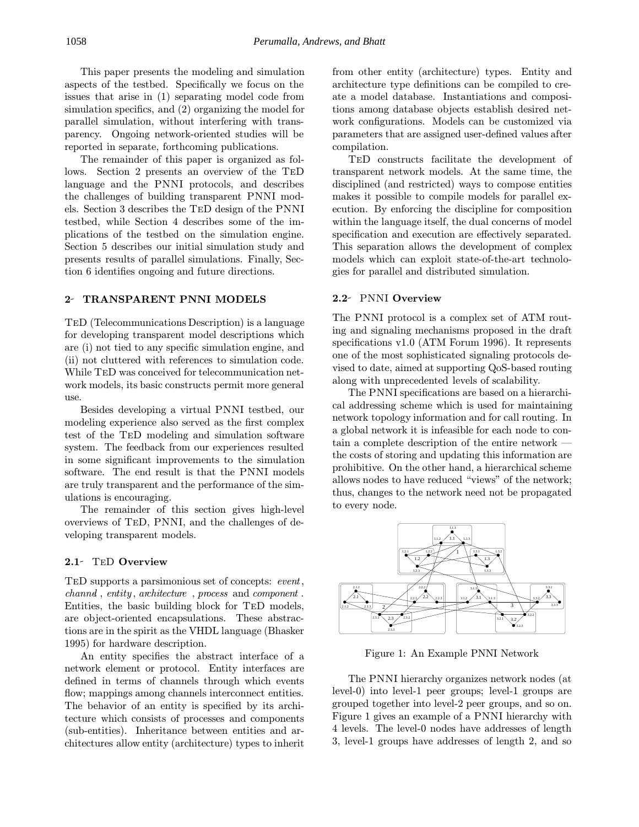This paper presents the modeling and simulation aspects of the testbed. Specifically we focus on the issues that arise in (1) separating model code from simulation specifics, and (2) organizing the model for parallel simulation, without interfering with transparency. Ongoing network-oriented studies will be reported in separate, forthcoming publications.

The remainder of this paper is organized as follows. Section 2 presents an overview of the TeD language and the PNNI protocols, and describes the challenges of building transparent PNNI models. Section 3 describes the TeD design of the PNNI testbed, while Section 4 describes some of the implications of the testbed on the simulation engine. Section 5 describes our initial simulation study and presents results of parallel simulations. Finally, Section 6 identifies ongoing and future directions.

#### 2- TRANSPARENT PNNI MODELS

TeD (Telecommunications Description) is a language for developing transparent model descriptions which are (i) not tied to any specific simulation engine, and (ii) not cluttered with references to simulation code. While TeD was conceived for telecommunication network models, its basic constructs permit more general use.

Besides developing a virtual PNNI testbed, our modeling experience also served as the first complex test of the TeD modeling and simulation software system. The feedback from our experiences resulted in some significant improvements to the simulation software. The end result is that the PNNI models are truly transparent and the performance of the simulations is encouraging.

The remainder of this section gives high-level overviews of TeD, PNNI, and the challenges of developing transparent models.

#### 2.1- TED Overview

TeD supports a parsimonious set of concepts: event, channel, entity, architecture, process and component. Entities, the basic building block for TeD models, are object-oriented encapsulations. These abstractions are in the spirit as the VHDL language (Bhasker 1995) for hardware description.

An entity specifies the abstract interface of a network element or protocol. Entity interfaces are defined in terms of channels through which events flow; mappings among channels interconnect entities. The behavior of an entity is specified by its architecture which consists of processes and components (sub-entities). Inheritance between entities and architectures allow entity (architecture) types to inherit

from other entity (architecture) types. Entity and architecture type definitions can be compiled to create a model database. Instantiations and compositions among database objects establish desired network configurations. Models can be customized via parameters that are assigned user-defined values after compilation.

TeD constructs facilitate the development of transparent network models. At the same time, the disciplined (and restricted) ways to compose entities makes it possible to compile models for parallel execution. By enforcing the discipline for composition within the language itself, the dual concerns of model specification and execution are effectively separated. This separation allows the development of complex models which can exploit state-of-the-art technologies for parallel and distributed simulation.

#### 2.2 PNNI Overview

The PNNI protocol is a complex set of ATM routing and signaling mechanisms proposed in the draft specifications v1.0 (ATM Forum 1996). It represents one of the most sophisticated signaling protocols devised to date, aimed at supporting QoS-based routing along with unprecedented levels of scalability.

The PNNI specifications are based on a hierarchical addressing scheme which is used for maintaining network topology information and for call routing. In a global network it is infeasible for each node to contain a complete description of the entire network the costs of storing and updating this information are prohibitive. On the other hand, a hierarchical scheme allows nodes to have reduced "views" of the network; thus, changes to the network need not be propagated to every node.



Figure 1: An Example PNNI Network

The PNNI hierarchy organizes network nodes (at level-0) into level-1 peer groups; level-1 groups are grouped together into level-2 peer groups, and so on. Figure 1 gives an example of a PNNI hierarchy with 4 levels. The level-0 nodes have addresses of length 3, level-1 groups have addresses of length 2, and so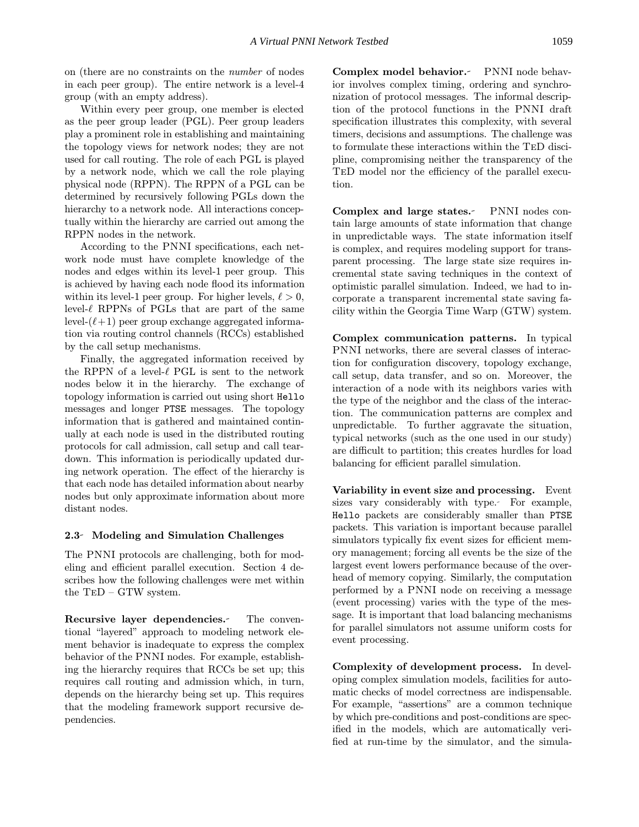on (there are no constraints on the number of nodes in each peer group). The entire network is a level-4 group (with an empty address).

Within every peer group, one member is elected as the peer group leader (PGL). Peer group leaders play a prominent role in establishing and maintaining the topology views for network nodes; they are not used for call routing. The role of each PGL is played by a network node, which we call the role playing physical node (RPPN). The RPPN of a PGL can be determined by recursively following PGLs down the hierarchy to a network node. All interactions conceptually within the hierarchy are carried out among the RPPN nodes in the network.

According to the PNNI specifications, each network node must have complete knowledge of the nodes and edges within its level-1 peer group. This is achieved by having each node flood its information within its level-1 peer group. For higher levels,  $\ell > 0$ , level- $\ell$  RPPNs of PGLs that are part of the same level- $(\ell+1)$  peer group exchange aggregated information via routing control channels (RCCs) established by the call setup mechanisms.

Finally, the aggregated information received by the RPPN of a level- $\ell$  PGL is sent to the network nodes below it in the hierarchy. The exchange of topology information is carried out using short Hello messages and longer PTSE messages. The topology information that is gathered and maintained continually at each node is used in the distributed routing protocols for call admission, call setup and call teardown. This information is periodically updated during network operation. The effect of the hierarchy is that each node has detailed information about nearby nodes but only approximate information about more distant nodes.

#### 2.3 Modeling and Simulation Challenges

The PNNI protocols are challenging, both for modeling and efficient parallel execution. Section 4 describes how the following challenges were met within the TeD – GTW system.

Recursive layer dependencies. The conventional "layered" approach to modeling network element behavior is inadequate to express the complex behavior of the PNNI nodes. For example, establishing the hierarchy requires that RCCs be set up; this requires call routing and admission which, in turn, depends on the hierarchy being set up. This requires that the modeling framework support recursive dependencies.

Complex model behavior. PNNI node behavior involves complex timing, ordering and synchronization of protocol messages. The informal description of the protocol functions in the PNNI draft specification illustrates this complexity, with several timers, decisions and assumptions. The challenge was to formulate these interactions within the TeD discipline, compromising neither the transparency of the TeD model nor the efficiency of the parallel execution.

Complex and large states. PNNI nodes contain large amounts of state information that change in unpredictable ways. The state information itself is complex, and requires modeling support for transparent processing. The large state size requires incremental state saving techniques in the context of optimistic parallel simulation. Indeed, we had to incorporate a transparent incremental state saving facility within the Georgia Time Warp (GTW) system.

Complex communication patterns. In typical PNNI networks, there are several classes of interaction for configuration discovery, topology exchange, call setup, data transfer, and so on. Moreover, the interaction of a node with its neighbors varies with the type of the neighbor and the class of the interaction. The communication patterns are complex and unpredictable. To further aggravate the situation, typical networks (such as the one used in our study) are difficult to partition; this creates hurdles for load balancing for efficient parallel simulation.

Variability in event size and processing. Event sizes vary considerably with type. For example, Hello packets are considerably smaller than PTSE packets. This variation is important because parallel simulators typically fix event sizes for efficient memory management; forcing all events be the size of the largest event lowers performance because of the overhead of memory copying. Similarly, the computation performed by a PNNI node on receiving a message (event processing) varies with the type of the message. It is important that load balancing mechanisms for parallel simulators not assume uniform costs for event processing.

Complexity of development process. In developing complex simulation models, facilities for automatic checks of model correctness are indispensable. For example, "assertions" are a common technique by which pre-conditions and post-conditions are specified in the models, which are automatically verified at run-time by the simulator, and the simula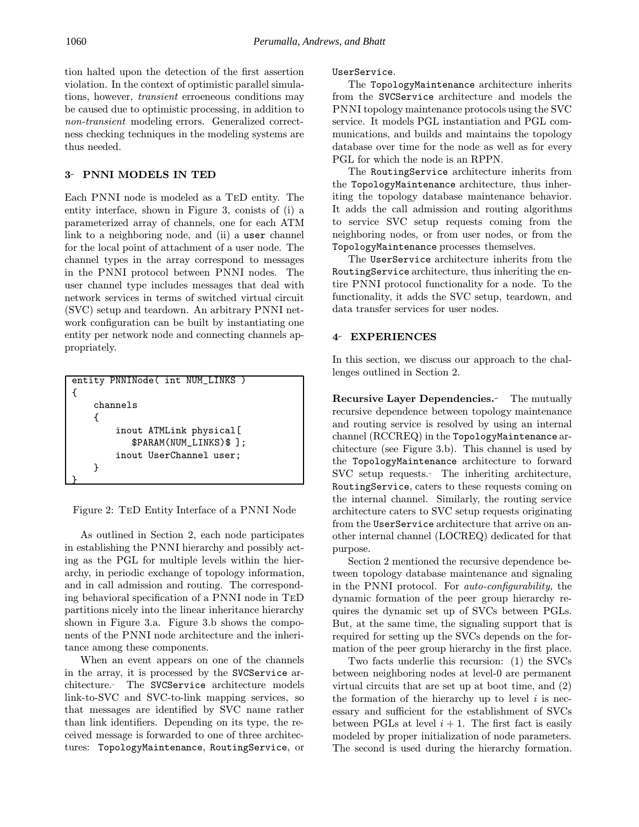tion halted upon the detection of the first assertion violation. In the context of optimistic parallel simulations, however, transient erroeneous conditions may be caused due to optimistic processing, in addition to non-transient modeling errors. Generalized correctness checking techniques in the modeling systems are thus needed.

## 3- PNNI MODELS IN TED

Each PNNI node is modeled as a TeD entity. The entity interface, shown in Figure 3, conists of (i) a parameterized array of channels, one for each ATM link to a neighboring node, and (ii) a user channel for the local point of attachment of a user node. The channel types in the array correspond to messages in the PNNI protocol between PNNI nodes. The user channel type includes messages that deal with network services in terms of switched virtual circuit (SVC) setup and teardown. An arbitrary PNNI network configuration can be built by instantiating one entity per network node and connecting channels appropriately.



Figure 2: TeD Entity Interface of a PNNI Node

As outlined in Section 2, each node participates in establishing the PNNI hierarchy and possibly acting as the PGL for multiple levels within the hierarchy, in periodic exchange of topology information, and in call admission and routing. The corresponding behavioral specification of a PNNI node in TeD partitions nicely into the linear inheritance hierarchy shown in Figure 3.a. Figure 3.b shows the components of the PNNI node architecture and the inheritance among these components.

When an event appears on one of the channels in the array, it is processed by the SVCService architecture. The SVCService architecture models link-to-SVC and SVC-to-link mapping services, so that messages are identified by SVC name rather than link identifiers. Depending on its type, the received message is forwarded to one of three architectures: TopologyMaintenance, RoutingService, or

UserService.

The TopologyMaintenance architecture inherits from the SVCService architecture and models the PNNI topology maintenance protocols using the SVC service. It models PGL instantiation and PGL communications, and builds and maintains the topology database over time for the node as well as for every PGL for which the node is an RPPN.

The RoutingService architecture inherits from the TopologyMaintenance architecture, thus inheriting the topology database maintenance behavior. It adds the call admission and routing algorithms to service SVC setup requests coming from the neighboring nodes, or from user nodes, or from the TopologyMaintenance processes themselves.

The UserService architecture inherits from the RoutingService architecture, thus inheriting the entire PNNI protocol functionality for a node. To the functionality, it adds the SVC setup, teardown, and data transfer services for user nodes.

## 4 EXPERIENCES

In this section, we discuss our approach to the challenges outlined in Section 2.

Recursive Layer Dependencies. The mutually recursive dependence between topology maintenance and routing service is resolved by using an internal channel (RCCREQ) in the TopologyMaintenance architecture (see Figure 3.b). This channel is used by the TopologyMaintenance architecture to forward SVC setup requests. The inheriting architecture, RoutingService, caters to these requests coming on the internal channel. Similarly, the routing service architecture caters to SVC setup requests originating from the UserService architecture that arrive on another internal channel (LOCREQ) dedicated for that purpose.

Section 2 mentioned the recursive dependence between topology database maintenance and signaling in the PNNI protocol. For auto-configurability, the dynamic formation of the peer group hierarchy requires the dynamic set up of SVCs between PGLs. But, at the same time, the signaling support that is required for setting up the SVCs depends on the formation of the peer group hierarchy in the first place.

Two facts underlie this recursion: (1) the SVCs between neighboring nodes at level-0 are permanent virtual circuits that are set up at boot time, and (2) the formation of the hierarchy up to level  $i$  is necessary and sufficient for the establishment of SVCs between PGLs at level  $i + 1$ . The first fact is easily modeled by proper initialization of node parameters. The second is used during the hierarchy formation.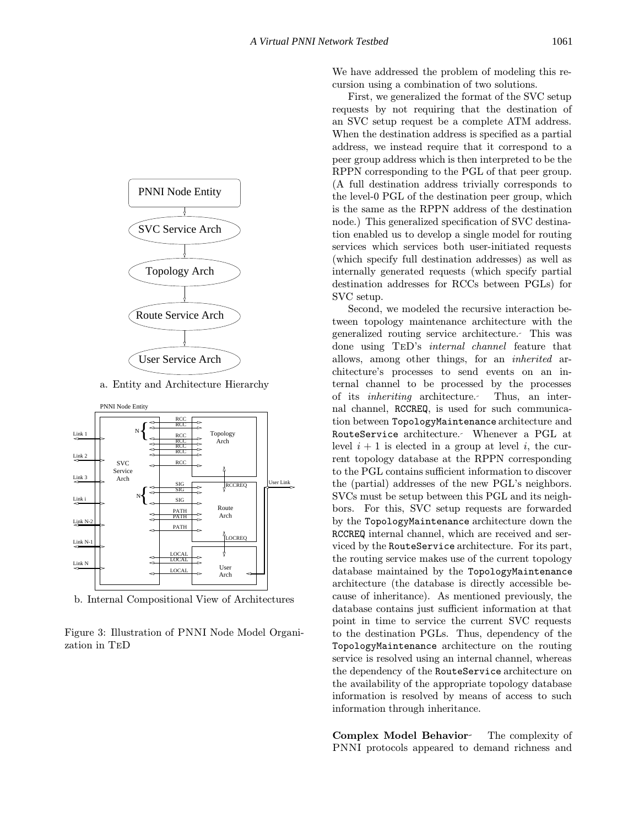

Route Service Arch User Service Arch Topology Arch SVC Service Arch

PNNI Node Entity

a. Entity and Architecture Hierarchy



b. Internal Compositional View of Architectures

Figure 3: Illustration of PNNI Node Model Organization in TeD

We have addressed the problem of modeling this recursion using a combination of two solutions.

First, we generalized the format of the SVC setup requests by not requiring that the destination of an SVC setup request be a complete ATM address. When the destination address is specified as a partial address, we instead require that it correspond to a peer group address which is then interpreted to be the RPPN corresponding to the PGL of that peer group. (A full destination address trivially corresponds to the level-0 PGL of the destination peer group, which is the same as the RPPN address of the destination node.) This generalized specification of SVC destination enabled us to develop a single model for routing services which services both user-initiated requests (which specify full destination addresses) as well as internally generated requests (which specify partial destination addresses for RCCs between PGLs) for SVC setup.

Second, we modeled the recursive interaction between topology maintenance architecture with the generalized routing service architecture. This was done using TeD's internal channel feature that allows, among other things, for an inherited architecture's processes to send events on an internal channel to be processed by the processes of its inheriting architecture. Thus, an internal channel, RCCREQ, is used for such communication between TopologyMaintenance architecture and RouteService architecture. Whenever a PGL at level  $i + 1$  is elected in a group at level i, the current topology database at the RPPN corresponding to the PGL contains sufficient information to discover the (partial) addresses of the new PGL's neighbors. SVCs must be setup between this PGL and its neighbors. For this, SVC setup requests are forwarded by the TopologyMaintenance architecture down the RCCREQ internal channel, which are received and serviced by the RouteService architecture. For its part, the routing service makes use of the current topology database maintained by the TopologyMaintenance architecture (the database is directly accessible because of inheritance). As mentioned previously, the database contains just sufficient information at that point in time to service the current SVC requests to the destination PGLs. Thus, dependency of the TopologyMaintenance architecture on the routing service is resolved using an internal channel, whereas the dependency of the RouteService architecture on the availability of the appropriate topology database information is resolved by means of access to such information through inheritance.

Complex Model Behavior- The complexity of PNNI protocols appeared to demand richness and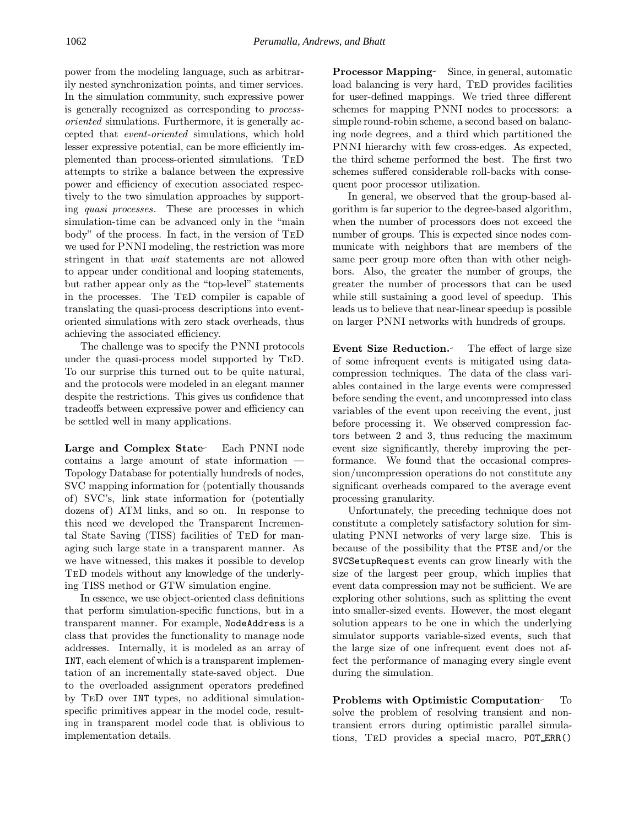power from the modeling language, such as arbitrarily nested synchronization points, and timer services. In the simulation community, such expressive power is generally recognized as corresponding to processoriented simulations. Furthermore, it is generally accepted that event-oriented simulations, which hold lesser expressive potential, can be more efficiently implemented than process-oriented simulations. TeD attempts to strike a balance between the expressive power and efficiency of execution associated respectively to the two simulation approaches by supporting quasi processes. These are processes in which simulation-time can be advanced only in the "main body" of the process. In fact, in the version of TeD we used for PNNI modeling, the restriction was more stringent in that wait statements are not allowed to appear under conditional and looping statements, but rather appear only as the "top-level" statements in the processes. The TeD compiler is capable of translating the quasi-process descriptions into eventoriented simulations with zero stack overheads, thus achieving the associated efficiency.

The challenge was to specify the PNNI protocols under the quasi-process model supported by TeD. To our surprise this turned out to be quite natural, and the protocols were modeled in an elegant manner despite the restrictions. This gives us confidence that tradeoffs between expressive power and efficiency can be settled well in many applications.

Large and Complex State Each PNNI node contains a large amount of state information — Topology Database for potentially hundreds of nodes, SVC mapping information for (potentially thousands of) SVC's, link state information for (potentially dozens of) ATM links, and so on. In response to this need we developed the Transparent Incremental State Saving (TISS) facilities of TeD for managing such large state in a transparent manner. As we have witnessed, this makes it possible to develop TeD models without any knowledge of the underlying TISS method or GTW simulation engine.

In essence, we use object-oriented class definitions that perform simulation-specific functions, but in a transparent manner. For example, NodeAddress is a class that provides the functionality to manage node addresses. Internally, it is modeled as an array of INT, each element of which is a transparent implementation of an incrementally state-saved object. Due to the overloaded assignment operators predefined by TeD over INT types, no additional simulationspecific primitives appear in the model code, resulting in transparent model code that is oblivious to implementation details.

**Processor Mapping-** Since, in general, automatic load balancing is very hard, TeD provides facilities for user-defined mappings. We tried three different schemes for mapping PNNI nodes to processors: a simple round-robin scheme, a second based on balancing node degrees, and a third which partitioned the PNNI hierarchy with few cross-edges. As expected, the third scheme performed the best. The first two schemes suffered considerable roll-backs with consequent poor processor utilization.

In general, we observed that the group-based algorithm is far superior to the degree-based algorithm, when the number of processors does not exceed the number of groups. This is expected since nodes communicate with neighbors that are members of the same peer group more often than with other neighbors. Also, the greater the number of groups, the greater the number of processors that can be used while still sustaining a good level of speedup. This leads us to believe that near-linear speedup is possible on larger PNNI networks with hundreds of groups.

Event Size Reduction. The effect of large size of some infrequent events is mitigated using datacompression techniques. The data of the class variables contained in the large events were compressed before sending the event, and uncompressed into class variables of the event upon receiving the event, just before processing it. We observed compression factors between 2 and 3, thus reducing the maximum event size significantly, thereby improving the performance. We found that the occasional compression/uncompression operations do not constitute any significant overheads compared to the average event processing granularity.

Unfortunately, the preceding technique does not constitute a completely satisfactory solution for simulating PNNI networks of very large size. This is because of the possibility that the PTSE and/or the SVCSetupRequest events can grow linearly with the size of the largest peer group, which implies that event data compression may not be sufficient. We are exploring other solutions, such as splitting the event into smaller-sized events. However, the most elegant solution appears to be one in which the underlying simulator supports variable-sized events, such that the large size of one infrequent event does not affect the performance of managing every single event during the simulation.

Problems with Optimistic Computation To solve the problem of resolving transient and nontransient errors during optimistic parallel simulations, TeD provides a special macro, POT ERR()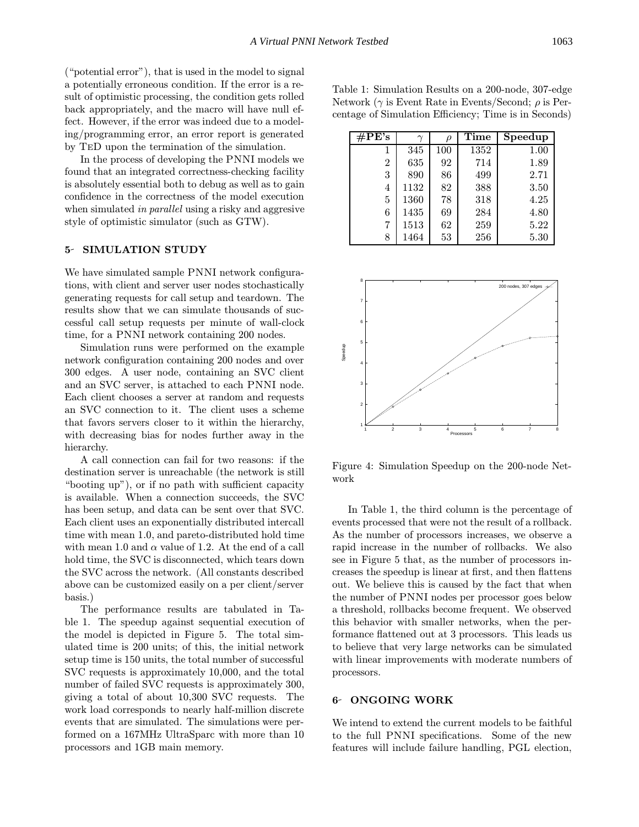("potential error"), that is used in the model to signal a potentially erroneous condition. If the error is a result of optimistic processing, the condition gets rolled back appropriately, and the macro will have null effect. However, if the error was indeed due to a modeling/programming error, an error report is generated by TeD upon the termination of the simulation.

In the process of developing the PNNI models we found that an integrated correctness-checking facility is absolutely essential both to debug as well as to gain confidence in the correctness of the model execution when simulated *in parallel* using a risky and aggresive style of optimistic simulator (such as GTW).

#### 5- SIMULATION STUDY

We have simulated sample PNNI network configurations, with client and server user nodes stochastically generating requests for call setup and teardown. The results show that we can simulate thousands of successful call setup requests per minute of wall-clock time, for a PNNI network containing 200 nodes.

Simulation runs were performed on the example network configuration containing 200 nodes and over 300 edges. A user node, containing an SVC client and an SVC server, is attached to each PNNI node. Each client chooses a server at random and requests an SVC connection to it. The client uses a scheme that favors servers closer to it within the hierarchy, with decreasing bias for nodes further away in the hierarchy.

A call connection can fail for two reasons: if the destination server is unreachable (the network is still "booting up"), or if no path with sufficient capacity is available. When a connection succeeds, the SVC has been setup, and data can be sent over that SVC. Each client uses an exponentially distributed intercall time with mean 1.0, and pareto-distributed hold time with mean 1.0 and  $\alpha$  value of 1.2. At the end of a call hold time, the SVC is disconnected, which tears down the SVC across the network. (All constants described above can be customized easily on a per client/server basis.)

The performance results are tabulated in Table 1. The speedup against sequential execution of the model is depicted in Figure 5. The total simulated time is 200 units; of this, the initial network setup time is 150 units, the total number of successful SVC requests is approximately 10,000, and the total number of failed SVC requests is approximately 300, giving a total of about 10,300 SVC requests. The work load corresponds to nearly half-million discrete events that are simulated. The simulations were performed on a 167MHz UltraSparc with more than 10 processors and 1GB main memory.

Table 1: Simulation Results on a 200-node, 307-edge Network ( $\gamma$  is Event Rate in Events/Second;  $\rho$  is Percentage of Simulation Efficiency; Time is in Seconds)

| $\rm \#PE's$ | $\gamma$ |     | <b>Time</b> | Speedup |
|--------------|----------|-----|-------------|---------|
|              | 345      | 100 | 1352        | 1.00    |
| 2            | 635      | 92  | 714         | 1.89    |
| 3            | 890      | 86  | 499         | 2.71    |
| 4            | 1132     | 82  | 388         | 3.50    |
| 5            | 1360     | 78  | 318         | 4.25    |
| 6            | 1435     | 69  | 284         | 4.80    |
| 7            | 1513     | 62  | 259         | 5.22    |
| 8            | 1464     | 53  | 256         | 5.30    |



Figure 4: Simulation Speedup on the 200-node Network

In Table 1, the third column is the percentage of events processed that were not the result of a rollback. As the number of processors increases, we observe a rapid increase in the number of rollbacks. We also see in Figure 5 that, as the number of processors increases the speedup is linear at first, and then flattens out. We believe this is caused by the fact that when the number of PNNI nodes per processor goes below a threshold, rollbacks become frequent. We observed this behavior with smaller networks, when the performance flattened out at 3 processors. This leads us to believe that very large networks can be simulated with linear improvements with moderate numbers of processors.

#### 6- ONGOING WORK

We intend to extend the current models to be faithful to the full PNNI specifications. Some of the new features will include failure handling, PGL election,